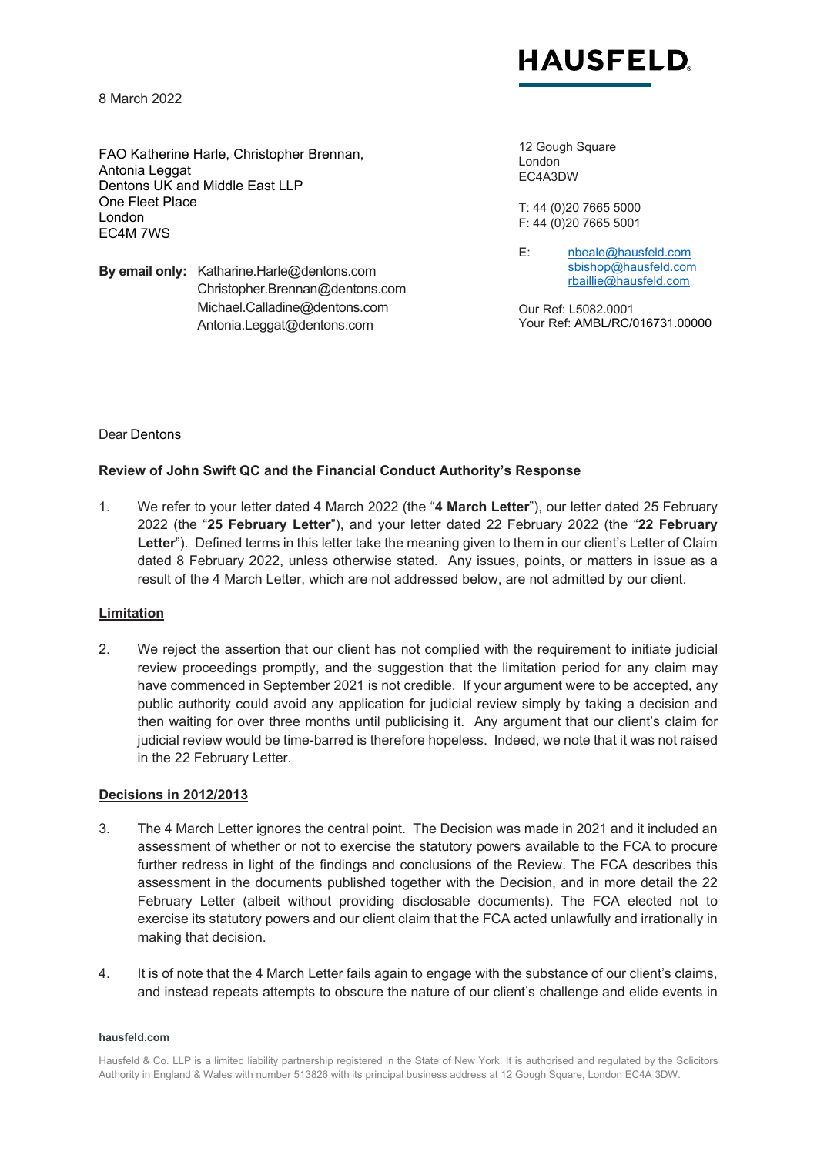

8 March 2022

FAO Katherine Harle, Christopher Brennan, Antonia Leggat Dentons UK and Middle East LLP One Fleet Place London EC4M 7WS

**By email only:** Katharine.Harle@dentons.com Christopher.Brennan@dentons.com Michael.Calladine@dentons.com Antonia.Leggat@dentons.com

12 Gough Square London EC4A3DW

T: 44 (0)20 7665 5000 F: 44 (0)20 7665 5001

E: [nbeale@hausfeld.com](mailto:nbeale@hausfeld.com) [sbishop@hausfeld.com](mailto:sbishop@hausfeld.com) [rbaillie@hausfeld.com](mailto:rbaillie@hausfeld.com)

Our Ref: L5082.0001 Your Ref: AMBL/RC/016731.00000

#### Dear Dentons

# **Review of John Swift QC and the Financial Conduct Authority's Response**

1. We refer to your letter dated 4 March 2022 (the "**4 March Letter**"), our letter dated 25 February 2022 (the "**25 February Letter**"), and your letter dated 22 February 2022 (the "**22 February**  Letter"). Defined terms in this letter take the meaning given to them in our client's Letter of Claim dated 8 February 2022, unless otherwise stated. Any issues, points, or matters in issue as a result of the 4 March Letter, which are not addressed below, are not admitted by our client.

#### **Limitation**

2. We reject the assertion that our client has not complied with the requirement to initiate judicial review proceedings promptly, and the suggestion that the limitation period for any claim may have commenced in September 2021 is not credible. If your argument were to be accepted, any public authority could avoid any application for judicial review simply by taking a decision and then waiting for over three months until publicising it. Any argument that our client's claim for judicial review would be time-barred is therefore hopeless. Indeed, we note that it was not raised in the 22 February Letter.

#### **Decisions in 2012/2013**

- 3. The 4 March Letter ignores the central point. The Decision was made in 2021 and it included an assessment of whether or not to exercise the statutory powers available to the FCA to procure further redress in light of the findings and conclusions of the Review. The FCA describes this assessment in the documents published together with the Decision, and in more detail the 22 February Letter (albeit without providing disclosable documents). The FCA elected not to exercise its statutory powers and our client claim that the FCA acted unlawfully and irrationally in making that decision.
- 4. It is of note that the 4 March Letter fails again to engage with the substance of our client's claims, and instead repeats attempts to obscure the nature of our client's challenge and elide events in

#### **hausfeld.com**

Hausfeld & Co. LLP is a limited liability partnership registered in the State of New York. It is authorised and regulated by the Solicitors Authority in England & Wales with number 513826 with its principal business address at 12 Gough Square, London EC4A 3DW.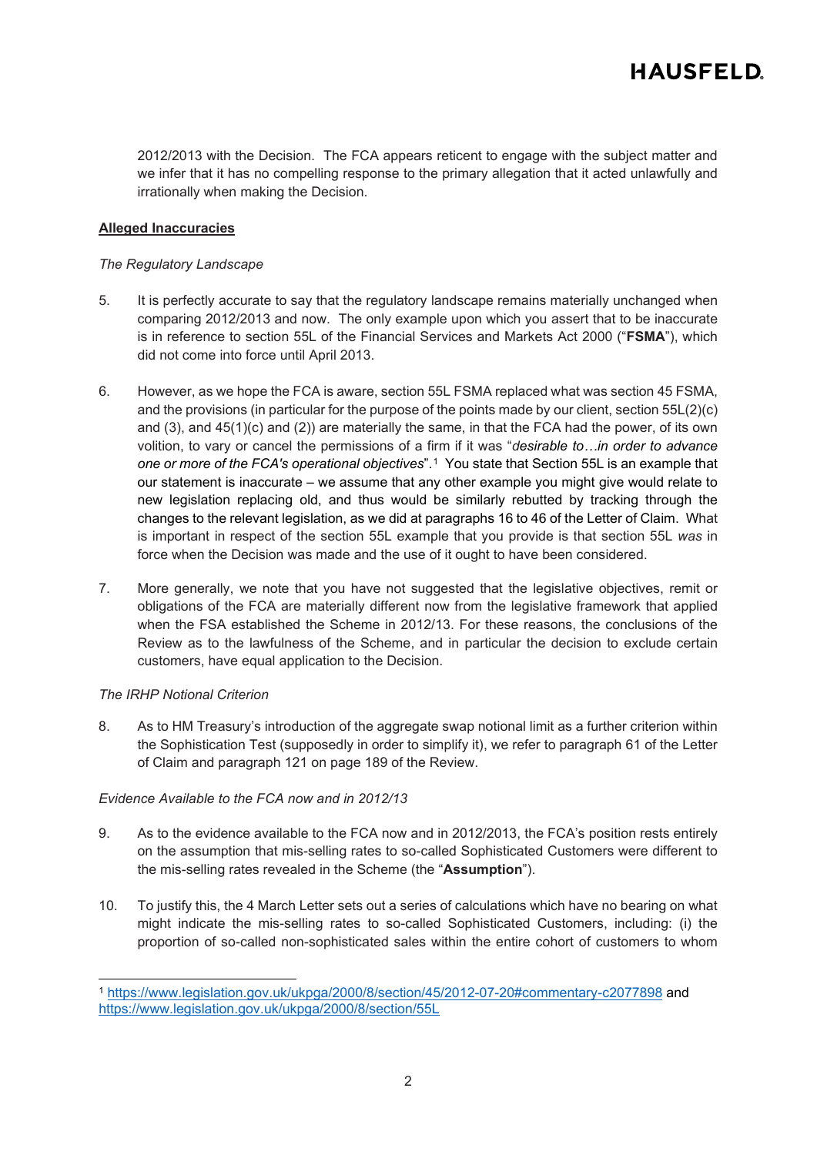2012/2013 with the Decision. The FCA appears reticent to engage with the subject matter and we infer that it has no compelling response to the primary allegation that it acted unlawfully and irrationally when making the Decision.

# **Alleged Inaccuracies**

# *The Regulatory Landscape*

- 5. It is perfectly accurate to say that the regulatory landscape remains materially unchanged when comparing 2012/2013 and now. The only example upon which you assert that to be inaccurate is in reference to section 55L of the Financial Services and Markets Act 2000 ("**FSMA**"), which did not come into force until April 2013.
- 6. However, as we hope the FCA is aware, section 55L FSMA replaced what was section 45 FSMA, and the provisions (in particular for the purpose of the points made by our client, section 55L(2)(c) and (3), and 45(1)(c) and (2)) are materially the same, in that the FCA had the power, of its own volition, to vary or cancel the permissions of a firm if it was "*desirable to…in order to advance one or more of the FCA's operational objectives*".[1](#page-1-0) You state that Section 55L is an example that our statement is inaccurate – we assume that any other example you might give would relate to new legislation replacing old, and thus would be similarly rebutted by tracking through the changes to the relevant legislation, as we did at paragraphs 16 to 46 of the Letter of Claim. What is important in respect of the section 55L example that you provide is that section 55L *was* in force when the Decision was made and the use of it ought to have been considered.
- 7. More generally, we note that you have not suggested that the legislative objectives, remit or obligations of the FCA are materially different now from the legislative framework that applied when the FSA established the Scheme in 2012/13. For these reasons, the conclusions of the Review as to the lawfulness of the Scheme, and in particular the decision to exclude certain customers, have equal application to the Decision.

# *The IRHP Notional Criterion*

8. As to HM Treasury's introduction of the aggregate swap notional limit as a further criterion within the Sophistication Test (supposedly in order to simplify it), we refer to paragraph 61 of the Letter of Claim and paragraph 121 on page 189 of the Review.

# *Evidence Available to the FCA now and in 2012/13*

- 9. As to the evidence available to the FCA now and in 2012/2013, the FCA's position rests entirely on the assumption that mis-selling rates to so-called Sophisticated Customers were different to the mis-selling rates revealed in the Scheme (the "**Assumption**").
- 10. To justify this, the 4 March Letter sets out a series of calculations which have no bearing on what might indicate the mis-selling rates to so-called Sophisticated Customers, including: (i) the proportion of so-called non-sophisticated sales within the entire cohort of customers to whom

<span id="page-1-0"></span><sup>1</sup> <https://www.legislation.gov.uk/ukpga/2000/8/section/45/2012-07-20#commentary-c2077898> and <https://www.legislation.gov.uk/ukpga/2000/8/section/55L>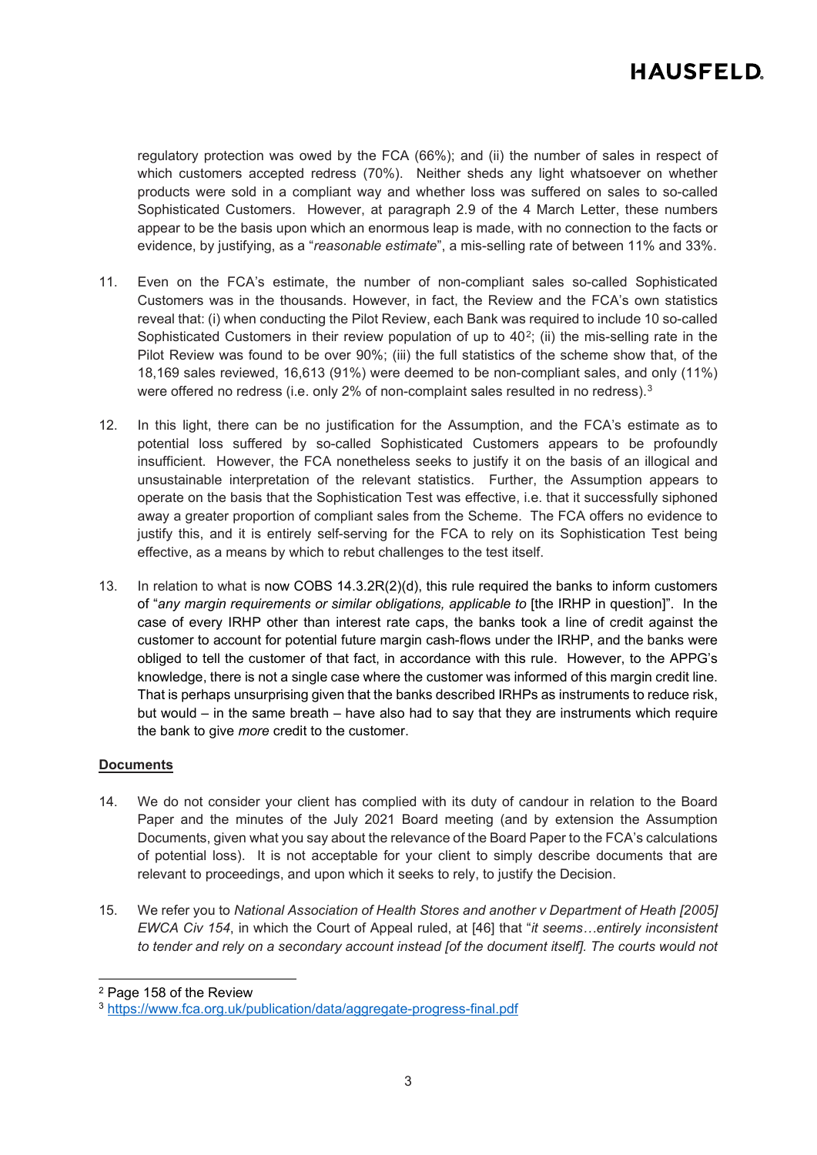regulatory protection was owed by the FCA (66%); and (ii) the number of sales in respect of which customers accepted redress (70%). Neither sheds any light whatsoever on whether products were sold in a compliant way and whether loss was suffered on sales to so-called Sophisticated Customers. However, at paragraph 2.9 of the 4 March Letter, these numbers appear to be the basis upon which an enormous leap is made, with no connection to the facts or evidence, by justifying, as a "*reasonable estimate*", a mis-selling rate of between 11% and 33%.

- 11. Even on the FCA's estimate, the number of non-compliant sales so-called Sophisticated Customers was in the thousands. However, in fact, the Review and the FCA's own statistics reveal that: (i) when conducting the Pilot Review, each Bank was required to include 10 so-called Sophisticated Customers in their review population of up to 40<sup>[2](#page-2-0)</sup>; (ii) the mis-selling rate in the Pilot Review was found to be over 90%; (iii) the full statistics of the scheme show that, of the 18,169 sales reviewed, 16,613 (91%) were deemed to be non-compliant sales, and only (11%) were offered no redress (i.e. only 2% of non-complaint sales resulted in no redress).<sup>[3](#page-2-1)</sup>
- 12. In this light, there can be no justification for the Assumption, and the FCA's estimate as to potential loss suffered by so-called Sophisticated Customers appears to be profoundly insufficient. However, the FCA nonetheless seeks to justify it on the basis of an illogical and unsustainable interpretation of the relevant statistics. Further, the Assumption appears to operate on the basis that the Sophistication Test was effective, i.e. that it successfully siphoned away a greater proportion of compliant sales from the Scheme. The FCA offers no evidence to justify this, and it is entirely self-serving for the FCA to rely on its Sophistication Test being effective, as a means by which to rebut challenges to the test itself.
- 13. In relation to what is now COBS 14.3.2R(2)(d), this rule required the banks to inform customers of "*any margin requirements or similar obligations, applicable to* [the IRHP in question]". In the case of every IRHP other than interest rate caps, the banks took a line of credit against the customer to account for potential future margin cash-flows under the IRHP, and the banks were obliged to tell the customer of that fact, in accordance with this rule. However, to the APPG's knowledge, there is not a single case where the customer was informed of this margin credit line. That is perhaps unsurprising given that the banks described IRHPs as instruments to reduce risk, but would – in the same breath – have also had to say that they are instruments which require the bank to give *more* credit to the customer.

# **Documents**

- 14. We do not consider your client has complied with its duty of candour in relation to the Board Paper and the minutes of the July 2021 Board meeting (and by extension the Assumption Documents, given what you say about the relevance of the Board Paper to the FCA's calculations of potential loss). It is not acceptable for your client to simply describe documents that are relevant to proceedings, and upon which it seeks to rely, to justify the Decision.
- 15. We refer you to *National Association of Health Stores and another v Department of Heath [2005] EWCA Civ 154*, in which the Court of Appeal ruled, at [46] that "*it seems…entirely inconsistent to tender and rely on a secondary account instead [of the document itself]. The courts would not*

<span id="page-2-0"></span><sup>2</sup> Page 158 of the Review

<span id="page-2-1"></span><sup>3</sup> <https://www.fca.org.uk/publication/data/aggregate-progress-final.pdf>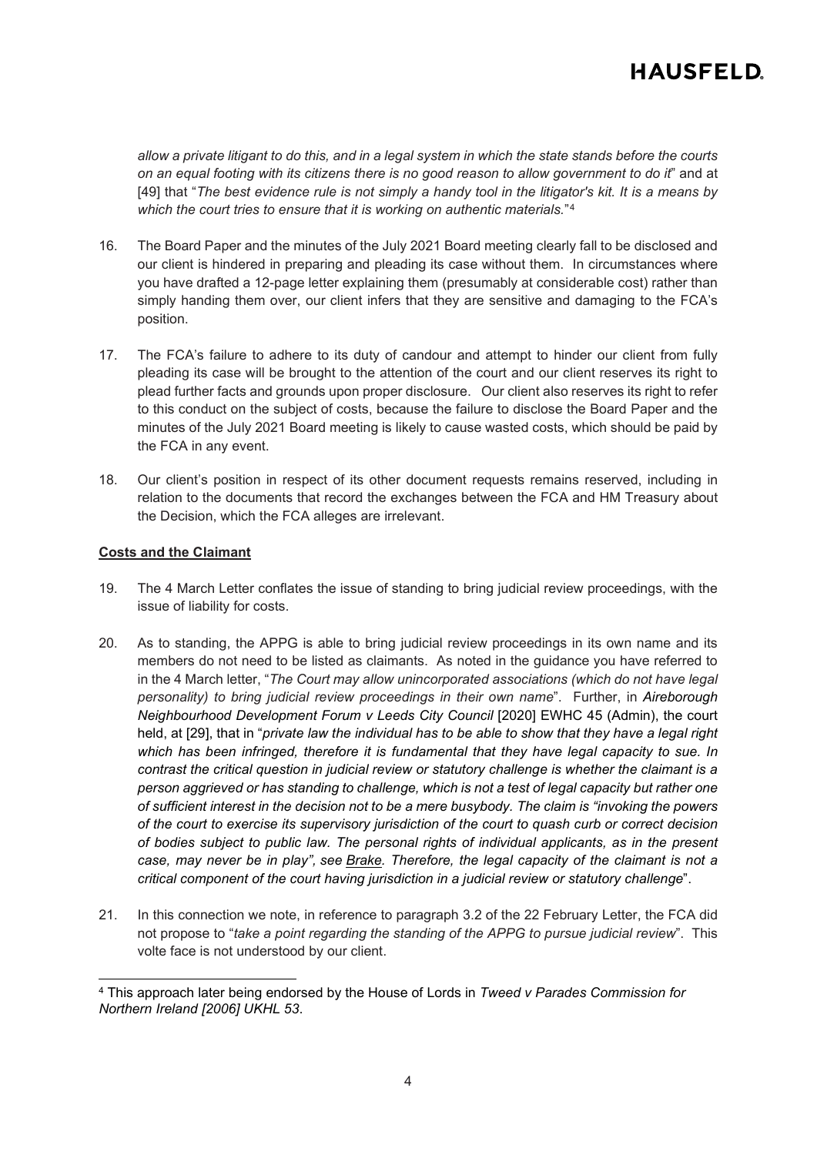# **HAUSFELD**

*allow a private litigant to do this, and in a legal system in which the state stands before the courts on an equal footing with its citizens there is no good reason to allow government to do it*" and at [49] that "*The best evidence rule is not simply a handy tool in the litigator's kit. It is a means by which the court tries to ensure that it is working on authentic materials.*"[4](#page-3-0)

- 16. The Board Paper and the minutes of the July 2021 Board meeting clearly fall to be disclosed and our client is hindered in preparing and pleading its case without them. In circumstances where you have drafted a 12-page letter explaining them (presumably at considerable cost) rather than simply handing them over, our client infers that they are sensitive and damaging to the FCA's position.
- 17. The FCA's failure to adhere to its duty of candour and attempt to hinder our client from fully pleading its case will be brought to the attention of the court and our client reserves its right to plead further facts and grounds upon proper disclosure. Our client also reserves its right to refer to this conduct on the subject of costs, because the failure to disclose the Board Paper and the minutes of the July 2021 Board meeting is likely to cause wasted costs, which should be paid by the FCA in any event.
- 18. Our client's position in respect of its other document requests remains reserved, including in relation to the documents that record the exchanges between the FCA and HM Treasury about the Decision, which the FCA alleges are irrelevant.

#### **Costs and the Claimant**

- 19. The 4 March Letter conflates the issue of standing to bring judicial review proceedings, with the issue of liability for costs.
- 20. As to standing, the APPG is able to bring judicial review proceedings in its own name and its members do not need to be listed as claimants. As noted in the guidance you have referred to in the 4 March letter, "*The Court may allow unincorporated associations (which do not have legal personality) to bring judicial review proceedings in their own name*". Further, in *Aireborough Neighbourhood Development Forum v Leeds City Council [2020] EWHC 45 (Admin), the court* held, at [29], that in "*private law the individual has to be able to show that they have a legal right which has been infringed, therefore it is fundamental that they have legal capacity to sue. In contrast the critical question in judicial review or statutory challenge is whether the claimant is a person aggrieved or has standing to challenge, which is not a test of legal capacity but rather one of sufficient interest in the decision not to be a mere busybody. The claim is "invoking the powers of the court to exercise its supervisory jurisdiction of the court to quash curb or correct decision of bodies subject to public law. The personal rights of individual applicants, as in the present case, may never be in play", see Brake. Therefore, the legal capacity of the claimant is not a critical component of the court having jurisdiction in a judicial review or statutory challenge*".
- 21. In this connection we note, in reference to paragraph 3.2 of the 22 February Letter, the FCA did not propose to "*take a point regarding the standing of the APPG to pursue judicial review*". This volte face is not understood by our client.

<span id="page-3-0"></span><sup>4</sup> This approach later being endorsed by the House of Lords in *Tweed v Parades Commission for Northern Ireland [2006] UKHL 53*.